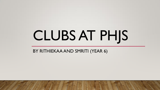# CLUBS AT PHJS

BY RITHIEKAA AND SMRITI (YEAR 6)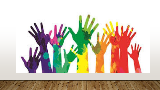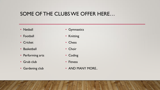### SOME OF THE CLUBS WE OFFER HERE…

- Netball
- Football
- Cricket
- Basketball
- Performing arts
- Grub club
- Gardening club
- Gymnastics
- Knitting
- Chess
- Choir
- Coding
- Fitness
- AND MANY MORE..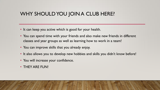### WHY SHOULD YOU JOIN A CLUB HERE?

- It can keep you active which is good for your health.
- You can spend time with your friends and also make new friends in different classes and year groups as well as learning how to work in a team!
- You can improve skills that you already enjoy.
- It also allows you to develop new hobbies and skills you didn't know before!
- You will increase your confidence.
- THEY ARE FUN!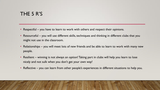### THE 5 R'S

- Respectful you have to learn to work with others and respect their opinions.
- Resourceful you will use different skills, techniques and thinking in different clubs that you might not use in the classroom.
- Relationships you will meet lots of new friends and be able to learn to work with many new people.
- Resilient winning is not always an option! Taking part in clubs will help you learn to lose nicely and not sulk when you don't get your own way!
- Reflective you can learn from other people's experiences in different situations to help you.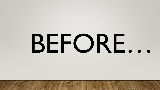# BEFORE...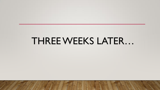### THREE WEEKS LATER...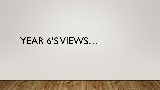## YEAR 6'S VIEWS...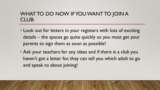### WHAT TO DO NOW IF YOU WANT TO JOIN A CLUB:

- Look out for letters in your registers with lots of exciting details – the spaces go quite quickly so you must get your parents to sign them as soon as possible!
- Ask your teachers for any ideas and if there is a club you haven't got a letter for, they can tell you which adult to go and speak to about joining!